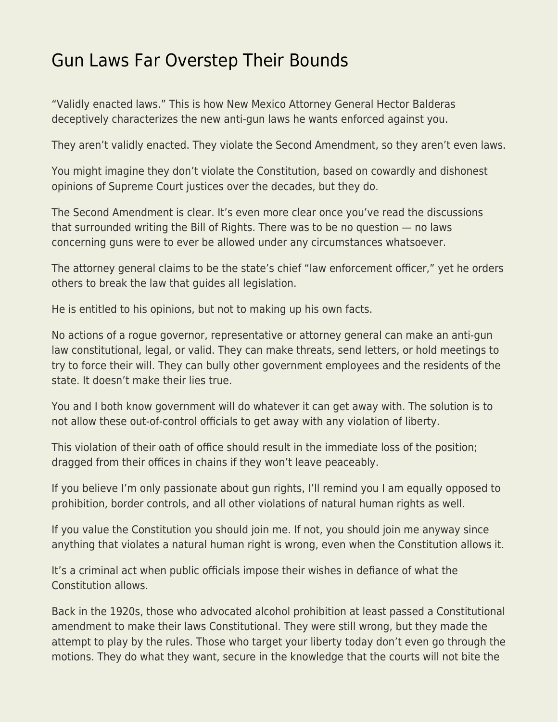## [Gun Laws Far Overstep Their Bounds](https://everything-voluntary.com/gun-laws-far-overstep-their-bounds)

"Validly enacted laws." This is how New Mexico Attorney General Hector Balderas deceptively characterizes the new anti-gun laws he wants enforced against you.

They aren't validly enacted. They violate the Second Amendment, so they aren't even laws.

You might imagine they don't violate the Constitution, based on cowardly and dishonest opinions of Supreme Court justices over the decades, but they do.

The Second Amendment is clear. It's even more clear once you've read the discussions that surrounded writing the Bill of Rights. There was to be no question — no laws concerning guns were to ever be allowed under any circumstances whatsoever.

The attorney general claims to be the state's chief "law enforcement officer," yet he orders others to break the law that guides all legislation.

He is entitled to his opinions, but not to making up his own facts.

No actions of a rogue governor, representative or attorney general can make an anti-gun law constitutional, legal, or valid. They can make threats, send letters, or hold meetings to try to force their will. They can bully other government employees and the residents of the state. It doesn't make their lies true.

You and I both know government will do whatever it can get away with. The solution is to not allow these out-of-control officials to get away with any violation of liberty.

This violation of their oath of office should result in the immediate loss of the position; dragged from their offices in chains if they won't leave peaceably.

If you believe I'm only passionate about gun rights, I'll remind you I am equally opposed to prohibition, border controls, and all other violations of natural human rights as well.

If you value the Constitution you should join me. If not, you should join me anyway since anything that violates a natural human right is wrong, even when the Constitution allows it.

It's a criminal act when public officials impose their wishes in defiance of what the Constitution allows.

Back in the 1920s, those who advocated alcohol prohibition at least passed a Constitutional amendment to make their laws Constitutional. They were still wrong, but they made the attempt to play by the rules. Those who target your liberty today don't even go through the motions. They do what they want, secure in the knowledge that the courts will not bite the